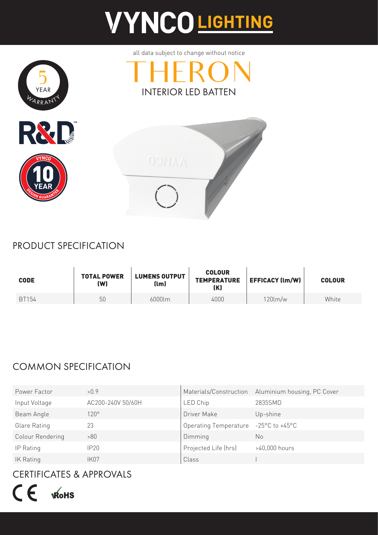# **VYNCOLIGHTING**



all data subject to change without notice





### PRODUCT SPECIFICATION

| <b>CODE</b> | <b>TOTAL POWER</b><br>(W) | <b>LUMENS OUTPUT</b><br>(lm) | <b>COLOUR</b><br><b>TEMPERATURE</b><br>(K) | <b>EFFICACY (lm/W)</b> | <b>COLOUR</b> |
|-------------|---------------------------|------------------------------|--------------------------------------------|------------------------|---------------|
| BT154       | 50                        | 6000lm                       | 4000                                       | $120$ lm/w             | White         |

### COMMON SPECIFICATION

| Power Factor     | >0.9              |                              | Materials/Construction Aluminium housing, PC Cover |
|------------------|-------------------|------------------------------|----------------------------------------------------|
| Input Voltage    | AC200-240V 50/60H | LED Chip                     | 2835SMD                                            |
| Beam Angle       | $120^\circ$       | Driver Make                  | Up-shine                                           |
| Glare Rating     | 23                | <b>Operating Temperature</b> | $-25^{\circ}$ C to $+45^{\circ}$ C                 |
| Colour Rendering | >80               | Dimming                      | No.                                                |
| IP Rating        | IP20              | Projected Life (hrs)         | $>40,000$ hours                                    |
| IK Rating        | <b>IK07</b>       | Class                        |                                                    |

### CERTIFICATES & APPROVALS